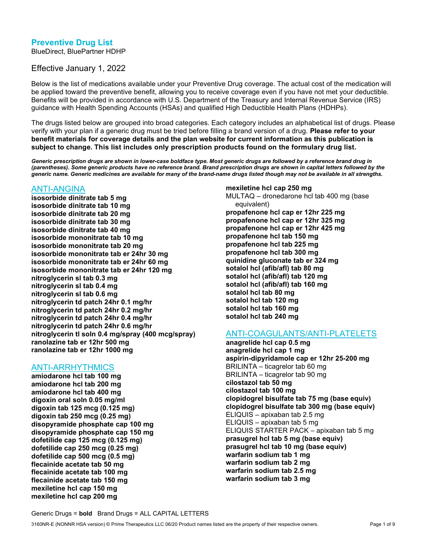## Preventive Drug List

BlueDirect, BluePartner HDHP

Effective January 1, 2022

Below is the list of medications available under your Preventive Drug coverage. The actual cost of the medication will be applied toward the preventive benefit, allowing you to receive coverage even if you have not met your deductible. Benefits will be provided in accordance with U.S. Department of the Treasury and Internal Revenue Service (IRS) guidance with Health Spending Accounts (HSAs) and qualified High Deductible Health Plans (HDHPs).

The drugs listed below are grouped into broad categories. Each category includes an alphabetical list of drugs. Please verify with your plan if a generic drug must be tried before filling a brand version of a drug. Please refer to your benefit materials for coverage details and the plan website for current information as this publication is subject to change. This list includes only prescription products found on the formulary drug list.

Generic prescription drugs are shown in lower-case boldface type. Most generic drugs are followed by a reference brand drug in (parentheses). Some generic products have no reference brand. Brand prescription drugs are shown in capital letters followed by the generic name. Generic medicines are available for many of the brand-name drugs listed though may not be available in all strengths.

#### ANTI-ANGINA

isosorbide dinitrate tab 5 mg isosorbide dinitrate tab 10 mg isosorbide dinitrate tab 20 mg isosorbide dinitrate tab 30 mg isosorbide dinitrate tab 40 mg isosorbide mononitrate tab 10 mg isosorbide mononitrate tab 20 mg isosorbide mononitrate tab er 24hr 30 mg isosorbide mononitrate tab er 24hr 60 mg isosorbide mononitrate tab er 24hr 120 mg nitroglycerin sl tab 0.3 mg nitroglycerin sl tab 0.4 mg nitroglycerin sl tab 0.6 mg nitroglycerin td patch 24hr 0.1 mg/hr nitroglycerin td patch 24hr 0.2 mg/hr nitroglycerin td patch 24hr 0.4 mg/hr nitroglycerin td patch 24hr 0.6 mg/hr nitroglycerin tl soln 0.4 mg/spray (400 mcg/spray) ranolazine tab er 12hr 500 mg ranolazine tab er 12hr 1000 mg

#### ANTI-ARRHYTHMICS

amiodarone hcl tab 100 mg amiodarone hcl tab 200 mg amiodarone hcl tab 400 mg digoxin oral soln 0.05 mg/ml digoxin tab 125 mcg (0.125 mg) digoxin tab 250 mcg (0.25 mg) disopyramide phosphate cap 100 mg disopyramide phosphate cap 150 mg dofetilide cap 125 mcg (0.125 mg) dofetilide cap 250 mcg (0.25 mg) dofetilide cap 500 mcg (0.5 mg) flecainide acetate tab 50 mg flecainide acetate tab 100 mg flecainide acetate tab 150 mg mexiletine hcl cap 150 mg mexiletine hcl cap 200 mg

mexiletine hcl cap 250 mg MULTAQ – dronedarone hcl tab 400 mg (base equivalent) propafenone hcl cap er 12hr 225 mg propafenone hcl cap er 12hr 325 mg propafenone hcl cap er 12hr 425 mg propafenone hcl tab 150 mg propafenone hcl tab 225 mg propafenone hcl tab 300 mg quinidine gluconate tab er 324 mg sotalol hcl (afib/afl) tab 80 mg sotalol hcl (afib/afl) tab 120 mg sotalol hcl (afib/afl) tab 160 mg sotalol hcl tab 80 mg sotalol hcl tab 120 mg sotalol hcl tab 160 mg sotalol hcl tab 240 mg

## ANTI-COAGULANTS/ANTI-PLATELETS

anagrelide hcl cap 0.5 mg anagrelide hcl cap 1 mg aspirin-dipyridamole cap er 12hr 25-200 mg BRILINTA – ticagrelor tab 60 mg BRILINTA – ticagrelor tab 90 mg cilostazol tab 50 mg cilostazol tab 100 mg clopidogrel bisulfate tab 75 mg (base equiv) clopidogrel bisulfate tab 300 mg (base equiv) ELIQUIS – apixaban tab 2.5 mg ELIQUIS – apixaban tab 5 mg ELIQUIS STARTER PACK – apixaban tab 5 mg prasugrel hcl tab 5 mg (base equiv) prasugrel hcl tab 10 mg (base equiv) warfarin sodium tab 1 mg warfarin sodium tab 2 mg warfarin sodium tab 2.5 mg warfarin sodium tab 3 mg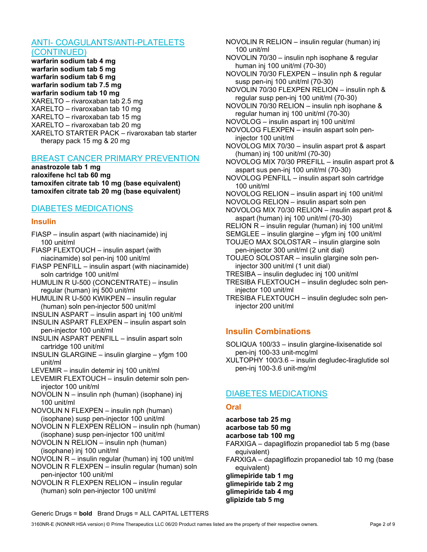## ANTI- COAGULANTS/ANTI-PLATELETS

(CONTINUED) warfarin sodium tab 4 mg warfarin sodium tab 5 mg warfarin sodium tab 6 mg warfarin sodium tab 7.5 mg warfarin sodium tab 10 mg XARELTO – rivaroxaban tab 2.5 mg XARELTO – rivaroxaban tab 10 mg XARELTO – rivaroxaban tab 15 mg XARELTO – rivaroxaban tab 20 mg XARELTO STARTER PACK – rivaroxaban tab starter therapy pack 15 mg & 20 mg

### BREAST CANCER PRIMARY PREVENTION

anastrozole tab 1 mg raloxifene hcl tab 60 mg tamoxifen citrate tab 10 mg (base equivalent) tamoxifen citrate tab 20 mg (base equivalent)

#### DIABETES MEDICATIONS

#### Insulin

- FIASP insulin aspart (with niacinamide) inj 100 unit/ml
- FIASP FLEXTOUCH insulin aspart (with niacinamide) sol pen-inj 100 unit/ml

FIASP PENFILL – insulin aspart (with niacinamide) soln cartridge 100 unit/ml

- HUMULIN R U-500 (CONCENTRATE) insulin regular (human) inj 500 unit/ml
- HUMULIN R U-500 KWIKPEN insulin regular (human) soln pen-injector 500 unit/ml

INSULIN ASPART – insulin aspart inj 100 unit/ml

- INSULIN ASPART FLEXPEN insulin aspart soln pen-injector 100 unit/ml
- INSULIN ASPART PENFILL insulin aspart soln cartridge 100 unit/ml
- INSULIN GLARGINE insulin glargine yfgm 100 unit/ml
- LEVEMIR insulin detemir inj 100 unit/ml
- LEVEMIR FLEXTOUCH insulin detemir soln peninjector 100 unit/ml
- NOVOLIN N insulin nph (human) (isophane) inj 100 unit/ml
- NOVOLIN N FLEXPEN insulin nph (human) (isophane) susp pen-injector 100 unit/ml
- NOVOLIN N FLEXPEN RELION insulin nph (human) (isophane) susp pen-injector 100 unit/ml
- NOVOLIN N RELION insulin nph (human) (isophane) inj 100 unit/ml
- NOVOLIN R insulin regular (human) inj 100 unit/ml
- NOVOLIN R FLEXPEN insulin regular (human) soln pen-injector 100 unit/ml

NOVOLIN R FLEXPEN RELION – insulin regular (human) soln pen-injector 100 unit/ml

NOVOLIN R RELION – insulin regular (human) inj 100 unit/ml NOVOLIN 70/30 – insulin nph isophane & regular human inj 100 unit/ml (70-30) NOVOLIN 70/30 FLEXPEN – insulin nph & regular susp pen-inj 100 unit/ml (70-30) NOVOLIN 70/30 FLEXPEN RELION – insulin nph & regular susp pen-inj 100 unit/ml (70-30) NOVOLIN 70/30 RELION – insulin nph isophane & regular human inj 100 unit/ml (70-30) NOVOLOG – insulin aspart inj 100 unit/ml NOVOLOG FLEXPEN – insulin aspart soln peninjector 100 unit/ml NOVOLOG MIX 70/30 – insulin aspart prot & aspart (human) inj 100 unit/ml (70-30) NOVOLOG MIX 70/30 PREFILL – insulin aspart prot & aspart sus pen-inj 100 unit/ml (70-30) NOVOLOG PENFILL – insulin aspart soln cartridge 100 unit/ml NOVOLOG RELION – insulin aspart inj 100 unit/ml NOVOLOG RELION – insulin aspart soln pen NOVOLOG MIX 70/30 RELION – insulin aspart prot & aspart (human) inj 100 unit/ml (70-30) RELION R – insulin regular (human) inj 100 unit/ml SEMGLEE – insulin glargine – yfgm inj 100 unit/ml TOUJEO MAX SOLOSTAR – insulin glargine soln pen-injector 300 unit/ml (2 unit dial) TOUJEO SOLOSTAR – insulin glargine soln peninjector 300 unit/ml (1 unit dial) TRESIBA – insulin degludec inj 100 unit/ml TRESIBA FLEXTOUCH – insulin degludec soln peninjector 100 unit/ml

TRESIBA FLEXTOUCH – insulin degludec soln peninjector 200 unit/ml

## Insulin Combinations

- SOLIQUA 100/33 insulin glargine-lixisenatide sol pen-inj 100-33 unit-mcg/ml
- XULTOPHY 100/3.6 insulin degludec-liraglutide sol pen-inj 100-3.6 unit-mg/ml

## DIABETES MEDICATIONS

#### **Oral**

acarbose tab 25 mg acarbose tab 50 mg acarbose tab 100 mg FARXIGA – dapagliflozin propanediol tab 5 mg (base equivalent) FARXIGA – dapagliflozin propanediol tab 10 mg (base equivalent) glimepiride tab 1 mg

glimepiride tab 2 mg glimepiride tab 4 mg glipizide tab 5 mg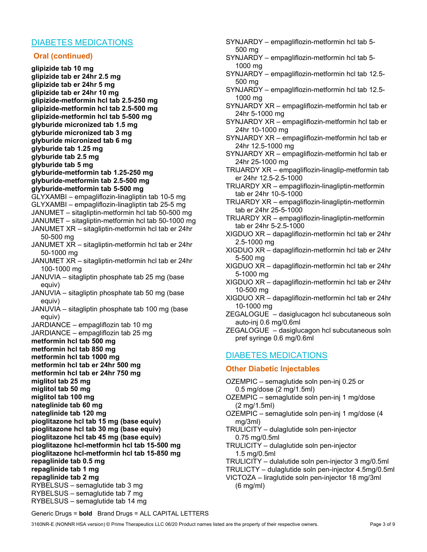## DIABETES MEDICATIONS

#### Oral (continued)

glipizide tab 10 mg glipizide tab er 24hr 2.5 mg glipizide tab er 24hr 5 mg glipizide tab er 24hr 10 mg glipizide-metformin hcl tab 2.5-250 mg glipizide-metformin hcl tab 2.5-500 mg glipizide-metformin hcl tab 5-500 mg glyburide micronized tab 1.5 mg glyburide micronized tab 3 mg glyburide micronized tab 6 mg glyburide tab 1.25 mg glyburide tab 2.5 mg glyburide tab 5 mg glyburide-metformin tab 1.25-250 mg glyburide-metformin tab 2.5-500 mg glyburide-metformin tab 5-500 mg GLYXAMBI – empagliflozin-linagliptin tab 10-5 mg GLYXAMBI – empagliflozin-linagliptin tab 25-5 mg JANUMET – sitagliptin-metformin hcl tab 50-500 mg JANUMET – sitagliptin-metformin hcl tab 50-1000 mg JANUMET XR – sitagliptin-metformin hcl tab er 24hr 50-500 mg JANUMET XR – sitagliptin-metformin hcl tab er 24hr 50-1000 mg JANUMET XR – sitagliptin-metformin hcl tab er 24hr 100-1000 mg JANUVIA – sitagliptin phosphate tab 25 mg (base equiv) JANUVIA – sitagliptin phosphate tab 50 mg (base equiv) JANUVIA – sitagliptin phosphate tab 100 mg (base equiv) JARDIANCE – empagliflozin tab 10 mg JARDIANCE – empagliflozin tab 25 mg metformin hcl tab 500 mg metformin hcl tab 850 mg metformin hcl tab 1000 mg metformin hcl tab er 24hr 500 mg metformin hcl tab er 24hr 750 mg miglitol tab 25 mg miglitol tab 50 mg miglitol tab 100 mg nateglinide tab 60 mg nateglinide tab 120 mg pioglitazone hcl tab 15 mg (base equiv) pioglitazone hcl tab 30 mg (base equiv) pioglitazone hcl tab 45 mg (base equiv) pioglitazone hcl-metformin hcl tab 15-500 mg pioglitazone hcl-metformin hcl tab 15-850 mg repaglinide tab 0.5 mg repaglinide tab 1 mg repaglinide tab 2 mg RYBELSUS – semaglutide tab 3 mg RYBELSUS – semaglutide tab 7 mg RYBELSUS – semaglutide tab 14 mg

- SYNJARDY empagliflozin-metformin hcl tab 5- 500 mg
- SYNJARDY empagliflozin-metformin hcl tab 5- 1000 mg
- SYNJARDY empagliflozin-metformin hcl tab 12.5- 500 mg
- SYNJARDY empagliflozin-metformin hcl tab 12.5- 1000 mg
- SYNJARDY XR empagliflozin-metformin hcl tab er 24hr 5-1000 mg
- SYNJARDY XR empagliflozin-metformin hcl tab er 24hr 10-1000 mg
- SYNJARDY XR empagliflozin-metformin hcl tab er 24hr 12.5-1000 mg
- SYNJARDY XR empagliflozin-metformin hcl tab er 24hr 25-1000 mg
- TRIJARDY XR empagliflozin-linaglip-metformin tab er 24hr 12.5-2.5-1000
- TRIJARDY XR empagliflozin-linagliptin-metformin tab er 24hr 10-5-1000
- TRIJARDY XR empagliflozin-linagliptin-metformin tab er 24hr 25-5-1000
- TRIJARDY XR empagliflozin-linagliptin-metformin tab er 24hr 5-2.5-1000
- XIGDUO XR dapagliflozin-metformin hcl tab er 24hr 2.5-1000 mg
- XIGDUO XR dapagliflozin-metformin hcl tab er 24hr 5-500 mg
- XIGDUO XR dapagliflozin-metformin hcl tab er 24hr 5-1000 mg
- XIGDUO XR dapagliflozin-metformin hcl tab er 24hr 10-500 mg
- XIGDUO XR dapagliflozin-metformin hcl tab er 24hr 10-1000 mg
- ZEGALOGUE dasiglucagon hcl subcutaneous soln auto-inj 0.6 mg/0.6ml
- ZEGALOGUE dasiglucagon hcl subcutaneous soln pref syringe 0.6 mg/0.6ml

## DIABETES MEDICATIONS

#### Other Diabetic Injectables

- OZEMPIC semaglutide soln pen-inj 0.25 or 0.5 mg/dose (2 mg/1.5ml) OZEMPIC – semaglutide soln pen-inj 1 mg/dose (2 mg/1.5ml) OZEMPIC – semaglutide soln pen-inj 1 mg/dose (4 mg/3ml)
- TRULICITY dulaglutide soln pen-injector 0.75 mg/0.5ml
- TRULICITY dulaglutide soln pen-injector 1.5 mg/0.5ml
- TRULICITY dulalutide soln pen-injector 3 mg/0.5ml
- TRULICTY dulaglutide soln pen-injector 4.5mg/0.5ml
- VICTOZA liraglutide soln pen-injector 18 mg/3ml (6 mg/ml)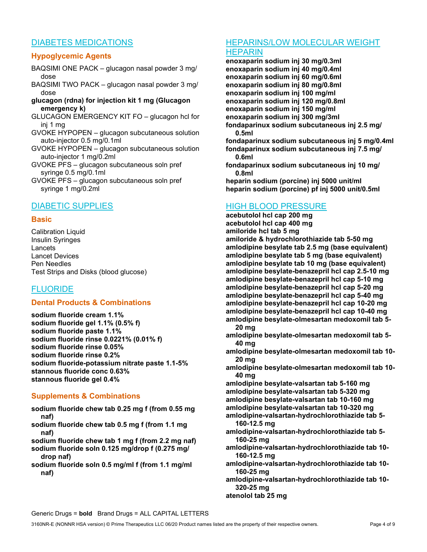## DIABETES MEDICATIONS

## Hypoglycemic Agents

- BAQSIMI ONE PACK glucagon nasal powder 3 mg/ dose
- BAQSIMI TWO PACK glucagon nasal powder 3 mg/ dose
- glucagon (rdna) for injection kit 1 mg (Glucagon emergency k)
- GLUCAGON EMERGENCY KIT FO glucagon hcl for inj 1 mg
- GVOKE HYPOPEN glucagon subcutaneous solution auto-injector 0.5 mg/0.1ml
- GVOKE HYPOPEN glucagon subcutaneous solution auto-injector 1 mg/0.2ml
- GVOKE PFS glucagon subcutaneous soln pref syringe 0.5 mg/0.1ml
- GVOKE PFS glucagon subcutaneous soln pref syringe 1 mg/0.2ml

## DIABETIC SUPPLIES

#### **Basic**

Calibration Liquid Insulin Syringes Lancets Lancet Devices Pen Needles Test Strips and Disks (blood glucose)

## FLUORIDE

### Dental Products & Combinations

sodium fluoride cream 1.1% sodium fluoride gel 1.1% (0.5% f) sodium fluoride paste 1.1% sodium fluoride rinse 0.0221% (0.01% f) sodium fluoride rinse 0.05% sodium fluoride rinse 0.2% sodium fluoride-potassium nitrate paste 1.1-5% stannous fluoride conc 0.63% stannous fluoride gel 0.4%

### Supplements & Combinations

- sodium fluoride chew tab 0.25 mg f (from 0.55 mg naf)
- sodium fluoride chew tab 0.5 mg f (from 1.1 mg naf)
- sodium fluoride chew tab 1 mg f (from 2.2 mg naf)
- sodium fluoride soln 0.125 mg/drop f (0.275 mg/ drop naf)
- sodium fluoride soln 0.5 mg/ml f (from 1.1 mg/ml naf)

# HEPARINS/LOW MOLECULAR WEIGHT

#### **HEPARIN**

enoxaparin sodium inj 30 mg/0.3ml enoxaparin sodium inj 40 mg/0.4ml enoxaparin sodium inj 60 mg/0.6ml enoxaparin sodium inj 80 mg/0.8ml enoxaparin sodium inj 100 mg/ml enoxaparin sodium inj 120 mg/0.8ml enoxaparin sodium inj 150 mg/ml enoxaparin sodium inj 300 mg/3ml fondaparinux sodium subcutaneous inj 2.5 mg/ 0.5ml fondaparinux sodium subcutaneous inj 5 mg/0.4ml fondaparinux sodium subcutaneous inj 7.5 mg/ 0.6ml fondaparinux sodium subcutaneous inj 10 mg/ 0.8ml heparin sodium (porcine) inj 5000 unit/ml heparin sodium (porcine) pf inj 5000 unit/0.5ml

## HIGH BLOOD PRESSURE

acebutolol hcl cap 200 mg acebutolol hcl cap 400 mg amiloride hcl tab 5 mg amiloride & hydrochlorothiazide tab 5-50 mg amlodipine besylate tab 2.5 mg (base equivalent) amlodipine besylate tab 5 mg (base equivalent) amlodipine besylate tab 10 mg (base equivalent) amlodipine besylate-benazepril hcl cap 2.5-10 mg amlodipine besylate-benazepril hcl cap 5-10 mg amlodipine besylate-benazepril hcl cap 5-20 mg amlodipine besylate-benazepril hcl cap 5-40 mg amlodipine besylate-benazepril hcl cap 10-20 mg amlodipine besylate-benazepril hcl cap 10-40 mg amlodipine besylate-olmesartan medoxomil tab 5- 20 mg

- amlodipine besylate-olmesartan medoxomil tab 5- 40 mg
- amlodipine besylate-olmesartan medoxomil tab 10- 20 mg
- amlodipine besylate-olmesartan medoxomil tab 10- 40 mg
- amlodipine besylate-valsartan tab 5-160 mg amlodipine besylate-valsartan tab 5-320 mg amlodipine besylate-valsartan tab 10-160 mg amlodipine besylate-valsartan tab 10-320 mg
- amlodipine-valsartan-hydrochlorothiazide tab 5- 160-12.5 mg
- amlodipine-valsartan-hydrochlorothiazide tab 5- 160-25 mg
- amlodipine-valsartan-hydrochlorothiazide tab 10- 160-12.5 mg
- amlodipine-valsartan-hydrochlorothiazide tab 10- 160-25 mg
- amlodipine-valsartan-hydrochlorothiazide tab 10- 320-25 mg

atenolol tab 25 mg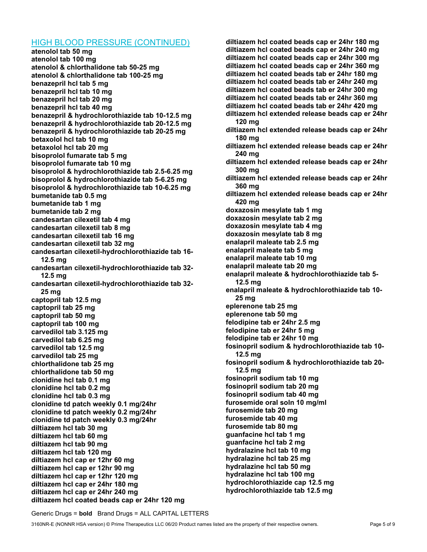#### HIGH BLOOD PRESSURE (CONTINUED)

atenolol tab 50 mg atenolol tab 100 mg atenolol & chlorthalidone tab 50-25 mg atenolol & chlorthalidone tab 100-25 mg benazepril hcl tab 5 mg benazepril hcl tab 10 mg benazepril hcl tab 20 mg benazepril hcl tab 40 mg benazepril & hydrochlorothiazide tab 10-12.5 mg benazepril & hydrochlorothiazide tab 20-12.5 mg benazepril & hydrochlorothiazide tab 20-25 mg betaxolol hcl tab 10 mg betaxolol hcl tab 20 mg bisoprolol fumarate tab 5 mg bisoprolol fumarate tab 10 mg bisoprolol & hydrochlorothiazide tab 2.5-6.25 mg bisoprolol & hydrochlorothiazide tab 5-6.25 mg bisoprolol & hydrochlorothiazide tab 10-6.25 mg bumetanide tab 0.5 mg bumetanide tab 1 mg bumetanide tab 2 mg candesartan cilexetil tab 4 mg candesartan cilexetil tab 8 mg candesartan cilexetil tab 16 mg candesartan cilexetil tab 32 mg candesartan cilexetil-hydrochlorothiazide tab 16- 12.5 mg candesartan cilexetil-hydrochlorothiazide tab 32- 12.5 mg candesartan cilexetil-hydrochlorothiazide tab 32- 25 mg captopril tab 12.5 mg captopril tab 25 mg captopril tab 50 mg captopril tab 100 mg carvedilol tab 3.125 mg carvedilol tab 6.25 mg carvedilol tab 12.5 mg carvedilol tab 25 mg chlorthalidone tab 25 mg chlorthalidone tab 50 mg clonidine hcl tab 0.1 mg clonidine hcl tab 0.2 mg clonidine hcl tab 0.3 mg clonidine td patch weekly 0.1 mg/24hr clonidine td patch weekly 0.2 mg/24hr clonidine td patch weekly 0.3 mg/24hr diltiazem hcl tab 30 mg diltiazem hcl tab 60 mg diltiazem hcl tab 90 mg diltiazem hcl tab 120 mg diltiazem hcl cap er 12hr 60 mg diltiazem hcl cap er 12hr 90 mg diltiazem hcl cap er 12hr 120 mg diltiazem hcl cap er 24hr 180 mg diltiazem hcl cap er 24hr 240 mg diltiazem hcl coated beads cap er 24hr 120 mg

diltiazem hcl coated beads cap er 24hr 180 mg diltiazem hcl coated beads cap er 24hr 240 mg diltiazem hcl coated beads cap er 24hr 300 mg diltiazem hcl coated beads cap er 24hr 360 mg diltiazem hcl coated beads tab er 24hr 180 mg diltiazem hcl coated beads tab er 24hr 240 mg diltiazem hcl coated beads tab er 24hr 300 mg diltiazem hcl coated beads tab er 24hr 360 mg diltiazem hcl coated beads tab er 24hr 420 mg diltiazem hcl extended release beads cap er 24hr 120 mg diltiazem hcl extended release beads cap er 24hr 180 mg diltiazem hcl extended release beads cap er 24hr 240 mg diltiazem hcl extended release beads cap er 24hr 300 mg diltiazem hcl extended release beads cap er 24hr 360 mg diltiazem hcl extended release beads cap er 24hr 420 mg doxazosin mesylate tab 1 mg doxazosin mesylate tab 2 mg doxazosin mesylate tab 4 mg doxazosin mesylate tab 8 mg enalapril maleate tab 2.5 mg enalapril maleate tab 5 mg enalapril maleate tab 10 mg enalapril maleate tab 20 mg enalapril maleate & hydrochlorothiazide tab 5- 12.5 mg enalapril maleate & hydrochlorothiazide tab 10- 25 mg eplerenone tab 25 mg eplerenone tab 50 mg felodipine tab er 24hr 2.5 mg felodipine tab er 24hr 5 mg felodipine tab er 24hr 10 mg fosinopril sodium & hydrochlorothiazide tab 10- 12.5 mg fosinopril sodium & hydrochlorothiazide tab 20- 12.5 mg fosinopril sodium tab 10 mg fosinopril sodium tab 20 mg fosinopril sodium tab 40 mg furosemide oral soln 10 mg/ml furosemide tab 20 mg furosemide tab 40 mg furosemide tab 80 mg guanfacine hcl tab 1 mg guanfacine hcl tab 2 mg hydralazine hcl tab 10 mg hydralazine hcl tab 25 mg hydralazine hcl tab 50 mg hydralazine hcl tab 100 mg hydrochlorothiazide cap 12.5 mg

hydrochlorothiazide tab 12.5 mg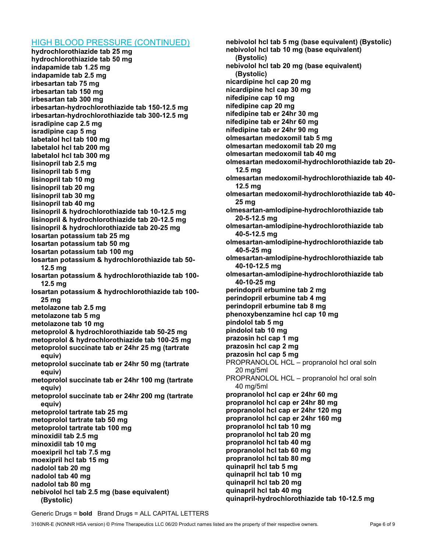### HIGH BLOOD PRESSURE (CONTINUED)

hydrochlorothiazide tab 25 mg hydrochlorothiazide tab 50 mg indapamide tab 1.25 mg indapamide tab 2.5 mg irbesartan tab 75 mg irbesartan tab 150 mg irbesartan tab 300 mg irbesartan-hydrochlorothiazide tab 150-12.5 mg irbesartan-hydrochlorothiazide tab 300-12.5 mg isradipine cap 2.5 mg isradipine cap 5 mg labetalol hcl tab 100 mg labetalol hcl tab 200 mg labetalol hcl tab 300 mg lisinopril tab 2.5 mg lisinopril tab 5 mg lisinopril tab 10 mg lisinopril tab 20 mg lisinopril tab 30 mg lisinopril tab 40 mg lisinopril & hydrochlorothiazide tab 10-12.5 mg lisinopril & hydrochlorothiazide tab 20-12.5 mg lisinopril & hydrochlorothiazide tab 20-25 mg losartan potassium tab 25 mg losartan potassium tab 50 mg losartan potassium tab 100 mg losartan potassium & hydrochlorothiazide tab 50- 12.5 mg losartan potassium & hydrochlorothiazide tab 100- 12.5 mg losartan potassium & hydrochlorothiazide tab 100- 25 mg metolazone tab 2.5 mg metolazone tab 5 mg metolazone tab 10 mg metoprolol & hydrochlorothiazide tab 50-25 mg metoprolol & hydrochlorothiazide tab 100-25 mg metoprolol succinate tab er 24hr 25 mg (tartrate equiv) metoprolol succinate tab er 24hr 50 mg (tartrate equiv) metoprolol succinate tab er 24hr 100 mg (tartrate equiv) metoprolol succinate tab er 24hr 200 mg (tartrate equiv) metoprolol tartrate tab 25 mg metoprolol tartrate tab 50 mg metoprolol tartrate tab 100 mg minoxidil tab 2.5 mg minoxidil tab 10 mg moexipril hcl tab 7.5 mg moexipril hcl tab 15 mg nadolol tab 20 mg nadolol tab 40 mg nadolol tab 80 mg nebivolol hcl tab 2.5 mg (base equivalent) (Bystolic)

nebivolol hcl tab 5 mg (base equivalent) (Bystolic) nebivolol hcl tab 10 mg (base equivalent) (Bystolic) nebivolol hcl tab 20 mg (base equivalent) (Bystolic) nicardipine hcl cap 20 mg nicardipine hcl cap 30 mg nifedipine cap 10 mg nifedipine cap 20 mg nifedipine tab er 24hr 30 mg nifedipine tab er 24hr 60 mg nifedipine tab er 24hr 90 mg olmesartan medoxomil tab 5 mg olmesartan medoxomil tab 20 mg olmesartan medoxomil tab 40 mg olmesartan medoxomil-hydrochlorothiazide tab 20- 12.5 mg olmesartan medoxomil-hydrochlorothiazide tab 40- 12.5 mg olmesartan medoxomil-hydrochlorothiazide tab 40- 25 mg olmesartan-amlodipine-hydrochlorothiazide tab 20-5-12.5 mg olmesartan-amlodipine-hydrochlorothiazide tab 40-5-12.5 mg olmesartan-amlodipine-hydrochlorothiazide tab 40-5-25 mg olmesartan-amlodipine-hydrochlorothiazide tab 40-10-12.5 mg olmesartan-amlodipine-hydrochlorothiazide tab 40-10-25 mg perindopril erbumine tab 2 mg perindopril erbumine tab 4 mg perindopril erbumine tab 8 mg phenoxybenzamine hcl cap 10 mg pindolol tab 5 mg pindolol tab 10 mg prazosin hcl cap 1 mg prazosin hcl cap 2 mg prazosin hcl cap 5 mg PROPRANOLOL HCL – propranolol hcl oral soln 20 mg/5ml PROPRANOLOL HCL – propranolol hcl oral soln 40 mg/5ml propranolol hcl cap er 24hr 60 mg propranolol hcl cap er 24hr 80 mg propranolol hcl cap er 24hr 120 mg propranolol hcl cap er 24hr 160 mg propranolol hcl tab 10 mg propranolol hcl tab 20 mg propranolol hcl tab 40 mg propranolol hcl tab 60 mg propranolol hcl tab 80 mg quinapril hcl tab 5 mg quinapril hcl tab 10 mg quinapril hcl tab 20 mg quinapril hcl tab 40 mg quinapril-hydrochlorothiazide tab 10-12.5 mg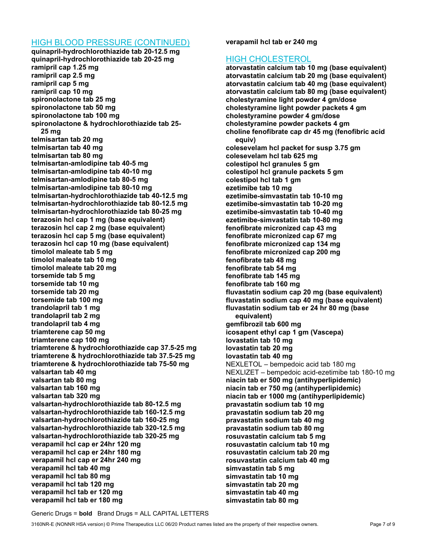#### HIGH BLOOD PRESSURE (CONTINUED)

quinapril-hydrochlorothiazide tab 20-12.5 mg quinapril-hydrochlorothiazide tab 20-25 mg ramipril cap 1.25 mg ramipril cap 2.5 mg ramipril cap 5 mg ramipril cap 10 mg spironolactone tab 25 mg spironolactone tab 50 mg spironolactone tab 100 mg spironolactone & hydrochlorothiazide tab 25- 25 mg telmisartan tab 20 mg telmisartan tab 40 mg telmisartan tab 80 mg telmisartan-amlodipine tab 40-5 mg telmisartan-amlodipine tab 40-10 mg telmisartan-amlodipine tab 80-5 mg telmisartan-amlodipine tab 80-10 mg telmisartan-hydrochlorothiazide tab 40-12.5 mg telmisartan-hydrochlorothiazide tab 80-12.5 mg telmisartan-hydrochlorothiazide tab 80-25 mg terazosin hcl cap 1 mg (base equivalent) terazosin hcl cap 2 mg (base equivalent) terazosin hcl cap 5 mg (base equivalent) terazosin hcl cap 10 mg (base equivalent) timolol maleate tab 5 mg timolol maleate tab 10 mg timolol maleate tab 20 mg torsemide tab 5 mg torsemide tab 10 mg torsemide tab 20 mg torsemide tab 100 mg trandolapril tab 1 mg trandolapril tab 2 mg trandolapril tab 4 mg triamterene cap 50 mg triamterene cap 100 mg triamterene & hydrochlorothiazide cap 37.5-25 mg triamterene & hydrochlorothiazide tab 37.5-25 mg triamterene & hydrochlorothiazide tab 75-50 mg valsartan tab 40 mg valsartan tab 80 mg valsartan tab 160 mg valsartan tab 320 mg valsartan-hydrochlorothiazide tab 80-12.5 mg valsartan-hydrochlorothiazide tab 160-12.5 mg valsartan-hydrochlorothiazide tab 160-25 mg valsartan-hydrochlorothiazide tab 320-12.5 mg valsartan-hydrochlorothiazide tab 320-25 mg verapamil hcl cap er 24hr 120 mg verapamil hcl cap er 24hr 180 mg verapamil hcl cap er 24hr 240 mg verapamil hcl tab 40 mg verapamil hcl tab 80 mg verapamil hcl tab 120 mg verapamil hcl tab er 120 mg verapamil hcl tab er 180 mg

verapamil hcl tab er 240 mg

### HIGH CHOLESTEROL

atorvastatin calcium tab 10 mg (base equivalent) atorvastatin calcium tab 20 mg (base equivalent) atorvastatin calcium tab 40 mg (base equivalent) atorvastatin calcium tab 80 mg (base equivalent) cholestyramine light powder 4 gm/dose cholestyramine light powder packets 4 gm cholestyramine powder 4 gm/dose cholestyramine powder packets 4 gm choline fenofibrate cap dr 45 mg (fenofibric acid equiv) colesevelam hcl packet for susp 3.75 gm colesevelam hcl tab 625 mg colestipol hcl granules 5 gm colestipol hcl granule packets 5 gm colestipol hcl tab 1 gm ezetimibe tab 10 mg ezetimibe-simvastatin tab 10-10 mg ezetimibe-simvastatin tab 10-20 mg ezetimibe-simvastatin tab 10-40 mg ezetimibe-simvastatin tab 10-80 mg fenofibrate micronized cap 43 mg fenofibrate micronized cap 67 mg fenofibrate micronized cap 134 mg fenofibrate micronized cap 200 mg fenofibrate tab 48 mg fenofibrate tab 54 mg fenofibrate tab 145 mg fenofibrate tab 160 mg fluvastatin sodium cap 20 mg (base equivalent) fluvastatin sodium cap 40 mg (base equivalent) fluvastatin sodium tab er 24 hr 80 mg (base equivalent) gemfibrozil tab 600 mg icosapent ethyl cap 1 gm (Vascepa) lovastatin tab 10 mg lovastatin tab 20 mg lovastatin tab 40 mg NEXLETOL – bempedoic acid tab 180 mg NEXLIZET – bempedoic acid-ezetimibe tab 180-10 mg niacin tab er 500 mg (antihyperlipidemic) niacin tab er 750 mg (antihyperlipidemic) niacin tab er 1000 mg (antihyperlipidemic) pravastatin sodium tab 10 mg pravastatin sodium tab 20 mg pravastatin sodium tab 40 mg pravastatin sodium tab 80 mg rosuvastatin calcium tab 5 mg rosuvastatin calcium tab 10 mg rosuvastatin calcium tab 20 mg rosuvastatin calcium tab 40 mg simvastatin tab 5 mg simvastatin tab 10 mg simvastatin tab 20 mg simvastatin tab 40 mg simvastatin tab 80 mg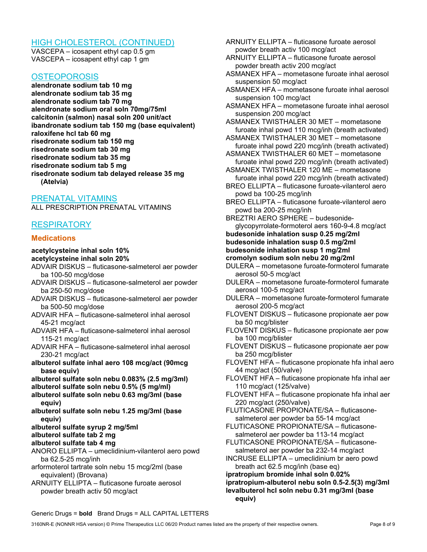### HIGH CHOLESTEROL (CONTINUED)

VASCEPA – icosapent ethyl cap 0.5 gm VASCEPA – icosapent ethyl cap 1 gm

#### **OSTEOPOROSIS**

alendronate sodium tab 10 mg alendronate sodium tab 35 mg alendronate sodium tab 70 mg alendronate sodium oral soln 70mg/75ml calcitonin (salmon) nasal soln 200 unit/act ibandronate sodium tab 150 mg (base equivalent) raloxifene hcl tab 60 mg risedronate sodium tab 150 mg risedronate sodium tab 30 mg risedronate sodium tab 35 mg risedronate sodium tab 5 mg risedronate sodium tab delayed release 35 mg (Atelvia)

PRENATAL VITAMINS

ALL PRESCRIPTION PRENATAL VITAMINS

## RESPIRATORY

#### **Medications**

#### acetylcysteine inhal soln 10% acetylcysteine inhal soln 20%

- ADVAIR DISKUS fluticasone-salmeterol aer powder ba 100-50 mcg/dose
- ADVAIR DISKUS fluticasone-salmeterol aer powder ba 250-50 mcg/dose
- ADVAIR DISKUS fluticasone-salmeterol aer powder ba 500-50 mcg/dose
- ADVAIR HFA fluticasone-salmeterol inhal aerosol 45-21 mcg/act
- ADVAIR HFA fluticasone-salmeterol inhal aerosol 115-21 mcg/act
- ADVAIR HFA fluticasone-salmeterol inhal aerosol 230-21 mcg/act
- albuterol sulfate inhal aero 108 mcg/act (90mcg base equiv)

albuterol sulfate soln nebu 0.083% (2.5 mg/3ml)

- albuterol sulfate soln nebu 0.5% (5 mg/ml)
- albuterol sulfate soln nebu 0.63 mg/3ml (base equiv)
- albuterol sulfate soln nebu 1.25 mg/3ml (base equiv)
- albuterol sulfate syrup 2 mg/5ml
- albuterol sulfate tab 2 mg

### albuterol sulfate tab 4 mg

- ANORO ELLIPTA umeclidinium-vilanterol aero powd ba 62.5-25 mcg/inh
- arformoterol tartrate soln nebu 15 mcg/2ml (base equivalent) (Brovana)
- ARNUITY ELLIPTA fluticasone furoate aerosol powder breath activ 50 mcg/act
- ARNUITY ELLIPTA fluticasone furoate aerosol powder breath activ 100 mcg/act
- ARNUITY ELLIPTA fluticasone furoate aerosol powder breath activ 200 mcg/act
- ASMANEX HFA mometasone furoate inhal aerosol suspension 50 mcg/act
- ASMANEX HFA mometasone furoate inhal aerosol suspension 100 mcg/act
- ASMANEX HFA mometasone furoate inhal aerosol suspension 200 mcg/act
- ASMANEX TWISTHALER 30 MET mometasone furoate inhal powd 110 mcg/inh (breath activated)
- ASMANEX TWISTHALER 30 MET mometasone furoate inhal powd 220 mcg/inh (breath activated)
- ASMANEX TWISTHALER 60 MET mometasone furoate inhal powd 220 mcg/inh (breath activated)
- ASMANEX TWISTHALER 120 ME mometasone furoate inhal powd 220 mcg/inh (breath activated)
- BREO ELLIPTA fluticasone furoate-vilanterol aero powd ba 100-25 mcg/inh
- BREO ELLIPTA fluticasone furoate-vilanterol aero powd ba 200-25 mcg/inh

BREZTRI AERO SPHERE – budesonideglycopyrrolate-formoterol aers 160-9-4.8 mcg/act budesonide inhalation susp 0.25 mg/2ml budesonide inhalation susp 0.5 mg/2ml budesonide inhalation susp 1 mg/2ml cromolyn sodium soln nebu 20 mg/2ml

- DULERA mometasone furoate-formoterol fumarate aerosol 50-5 mcg/act
- DULERA mometasone furoate-formoterol fumarate aerosol 100-5 mcg/act
- DULERA mometasone furoate-formoterol fumarate aerosol 200-5 mcg/act
- FLOVENT DISKUS fluticasone propionate aer pow ba 50 mcg/blister
- FLOVENT DISKUS fluticasone propionate aer pow ba 100 mcg/blister
- FLOVENT DISKUS fluticasone propionate aer pow ba 250 mcg/blister
- FLOVENT HFA fluticasone propionate hfa inhal aero 44 mcg/act (50/valve)
- FLOVENT HFA fluticasone propionate hfa inhal aer 110 mcg/act (125/valve)
- FLOVENT HFA fluticasone propionate hfa inhal aer 220 mcg/act (250/valve)
- FLUTICASONE PROPIONATE/SA fluticasonesalmeterol aer powder ba 55-14 mcg/act
- FLUTICASONE PROPIONATE/SA fluticasonesalmeterol aer powder ba 113-14 mcg/act
- FLUTICASONE PROPIONATE/SA fluticasonesalmeterol aer powder ba 232-14 mcg/act
- INCRUSE ELLIPTA umeclidinium br aero powd breath act 62.5 mcg/inh (base eq)

ipratropium bromide inhal soln 0.02% ipratropium-albuterol nebu soln 0.5-2.5(3) mg/3ml levalbuterol hcl soln nebu 0.31 mg/3ml (base equiv)